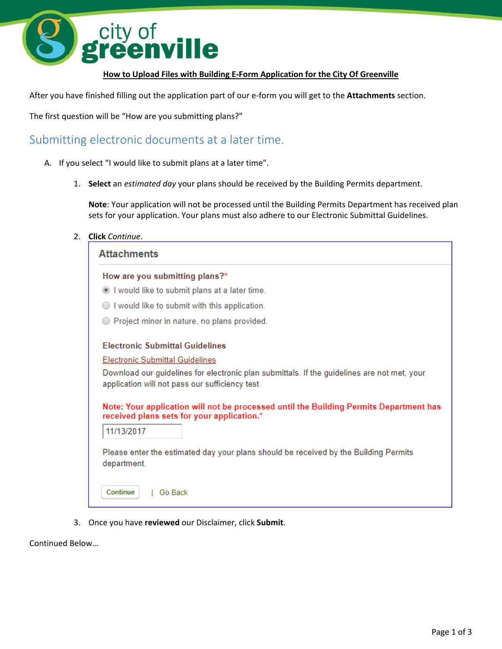

## **How to Upload Files with Building E-Form Application for the City Of Greenville**

After you have finished filling out the application part of our e-form you will get to the **Attachments** section.

The first question will be "How are you submitting plans?"

## Submitting electronic documents at a later time.

- A. If you select "I would like to submit plans at a later time".
	- 1. **Select** an *estimated day* your plans should be received by the Building Permits department.

**Note**: Your application will not be processed until the Building Permits Department has received plan sets for your application. Your plans must also adhere to our Electronic Submittal Guidelines.

2. **Click** *Continue*.

| <b>Attachments</b>                                                                                                                             |
|------------------------------------------------------------------------------------------------------------------------------------------------|
| How are you submitting plans?*                                                                                                                 |
| I would like to submit plans at a later time.                                                                                                  |
| I would like to submit with this application.                                                                                                  |
| ◯ Project minor in nature, no plans provided.                                                                                                  |
| <b>Electronic Submittal Guidelines</b>                                                                                                         |
| Electronic Submittal Guidelines                                                                                                                |
| Download our guidelines for electronic plan submittals. If the guidelines are not met, your<br>application will not pass our sufficiency test. |
| Note: Your application will not be processed until the Building Permits Department has<br>received plans sets for your application.*           |
| 11/13/2017                                                                                                                                     |
| Please enter the estimated day your plans should be received by the Building Permits<br>department.                                            |
| Continue<br>Go Back                                                                                                                            |

3. Once you have **reviewed** our Disclaimer, click **Submit**.

Continued Below…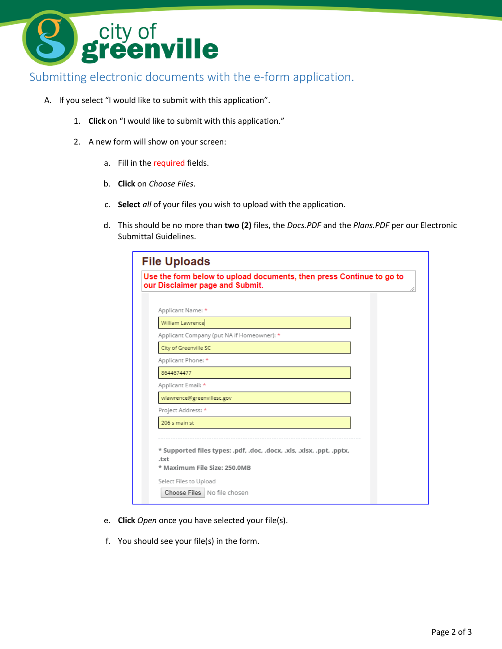

## Submitting electronic documents with the e-form application.

- A. If you select "I would like to submit with this application".
	- 1. **Click** on "I would like to submit with this application."
	- 2. A new form will show on your screen:
		- a. Fill in the required fields.
		- b. **Click** on *Choose Files*.
		- c. **Select** *all* of your files you wish to upload with the application.
		- d. This should be no more than **two (2)** files, the *Docs.PDF* and the *Plans.PDF* per our Electronic Submittal Guidelines.

| <b>File Uploads</b><br>Use the form below to upload documents, then press Continue to go to<br>our Disclaimer page and Submit. |                                                                       |  |  |
|--------------------------------------------------------------------------------------------------------------------------------|-----------------------------------------------------------------------|--|--|
| Applicant Name: *                                                                                                              |                                                                       |  |  |
| William Lawrence                                                                                                               |                                                                       |  |  |
| Applicant Company (put NA if Homeowner): *                                                                                     |                                                                       |  |  |
| City of Greenville SC                                                                                                          |                                                                       |  |  |
| Applicant Phone: *                                                                                                             |                                                                       |  |  |
| 8644674477                                                                                                                     |                                                                       |  |  |
| Applicant Email: *                                                                                                             |                                                                       |  |  |
| wlawrence@greenvillesc.gov                                                                                                     |                                                                       |  |  |
| Project Address: *                                                                                                             |                                                                       |  |  |
| 206 s main st                                                                                                                  |                                                                       |  |  |
| .txt<br>* Maximum File Size: 250.0MB<br>Select Files to Upload<br>Choose Files   No file chosen                                | * Supported files types: .pdf, .doc, .docx, .xls, .xlsx, .ppt, .pptx, |  |  |

- e. **Click** *Open* once you have selected your file(s).
- f. You should see your file(s) in the form.